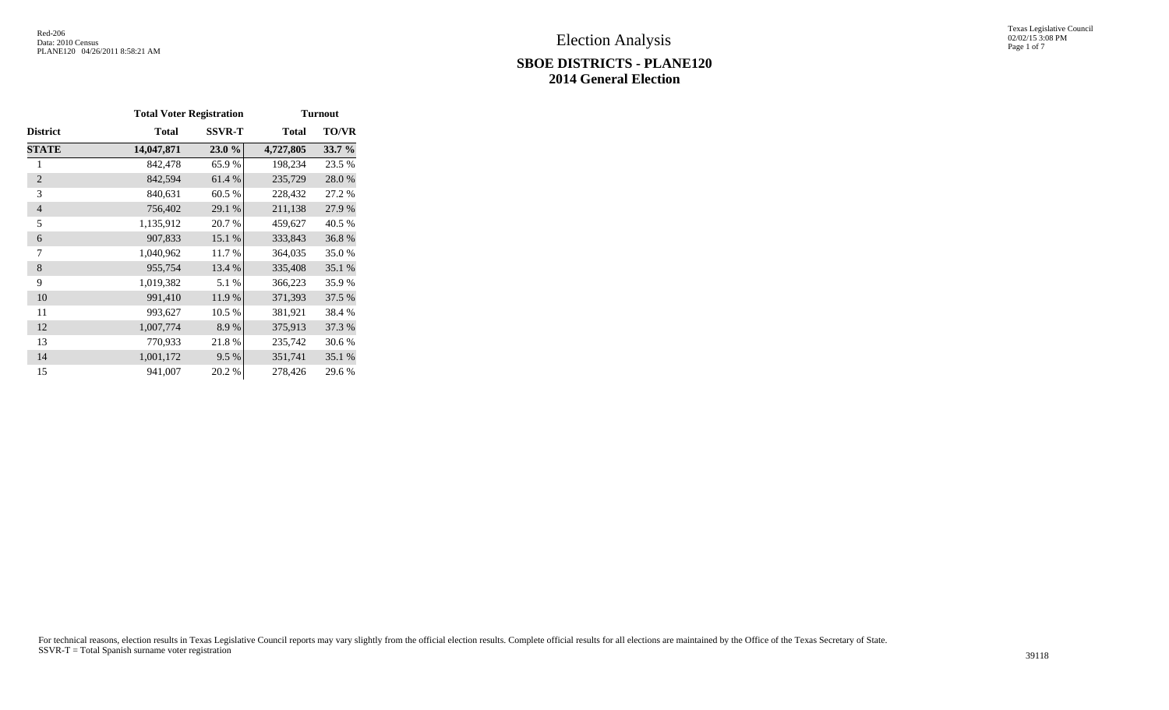# **SBOE DISTRICTS - PLANE120 2014 General Election**

Texas Legislative Council 02/02/15 3:08 PM Page 1 of 7

|                 | <b>Total Voter Registration</b> |               |              | <b>Turnout</b> |
|-----------------|---------------------------------|---------------|--------------|----------------|
| <b>District</b> | Total                           | <b>SSVR-T</b> | <b>Total</b> | <b>TO/VR</b>   |
| <b>STATE</b>    | 14,047,871                      | 23.0%         | 4,727,805    | 33.7 %         |
| 1               | 842,478                         | 65.9%         | 198,234      | 23.5 %         |
| $\overline{2}$  | 842,594                         | 61.4 %        | 235,729      | 28.0%          |
| 3               | 840,631                         | 60.5%         | 228,432      | 27.2 %         |
| $\overline{4}$  | 756,402                         | 29.1 %        | 211,138      | 27.9 %         |
| 5               | 1,135,912                       | 20.7 %        | 459,627      | 40.5 %         |
| 6               | 907,833                         | 15.1 %        | 333,843      | 36.8%          |
| 7               | 1,040,962                       | 11.7 %        | 364,035      | 35.0%          |
| 8               | 955,754                         | 13.4 %        | 335,408      | 35.1 %         |
| 9               | 1,019,382                       | 5.1 %         | 366,223      | 35.9%          |
| 10              | 991,410                         | 11.9 %        | 371,393      | 37.5 %         |
| 11              | 993,627                         | 10.5 %        | 381,921      | 38.4 %         |
| 12              | 1,007,774                       | 8.9%          | 375,913      | 37.3 %         |
| 13              | 770,933                         | 21.8%         | 235,742      | 30.6 %         |
| 14              | 1,001,172                       | 9.5 %         | 351,741      | 35.1 %         |
| 15              | 941,007                         | 20.2 %        | 278,426      | 29.6 %         |

For technical reasons, election results in Texas Legislative Council reports may vary slightly from the official election results. Complete official results for all elections are maintained by the Office of the Texas Secre SSVR-T = Total Spanish surname voter registration 39118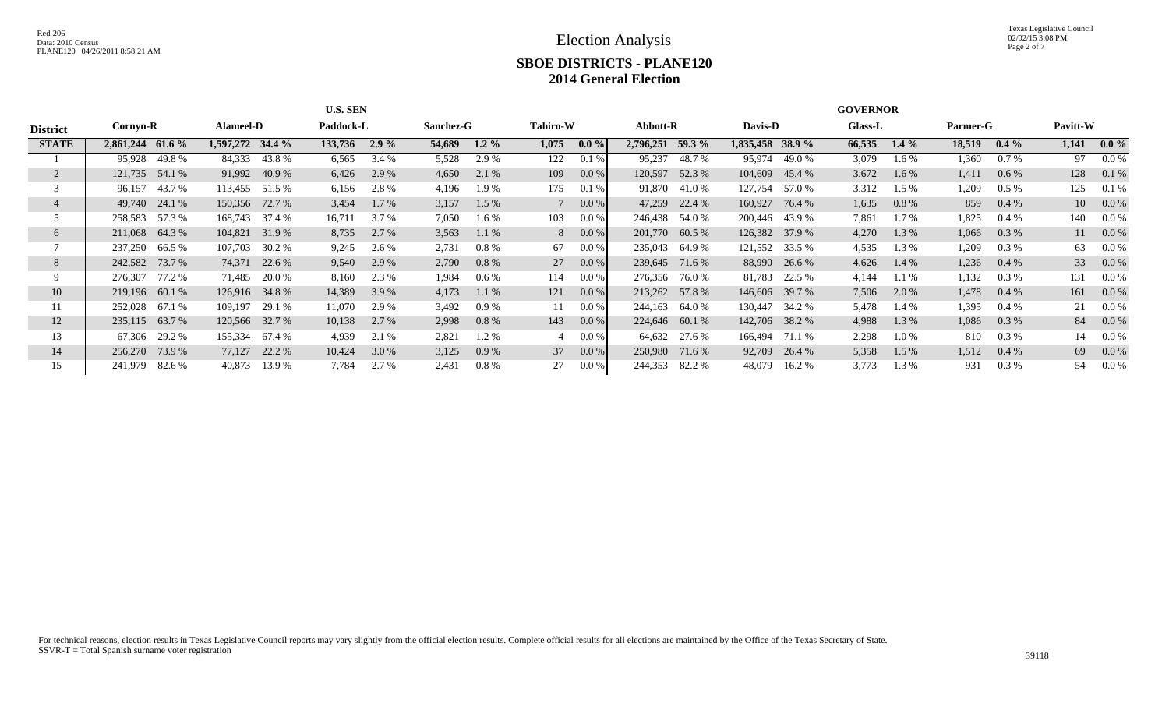## **SBOE DISTRICTS - PLANE120 2014 General Election**

|                 |                   |                   | <b>U.S. SEN</b>    |                   | <b>GOVERNOR</b>  |                   |                   |                   |                   |                  |  |  |  |  |  |
|-----------------|-------------------|-------------------|--------------------|-------------------|------------------|-------------------|-------------------|-------------------|-------------------|------------------|--|--|--|--|--|
| <b>District</b> | Cornyn-R          | <b>Alameel-D</b>  | Paddock-L          | Sanchez-G         | <b>Tahiro-W</b>  | Abbott-R          | Davis-D           | <b>Glass-L</b>    | Parmer-G          | Pavitt-W         |  |  |  |  |  |
| <b>STATE</b>    | 2,861,244 61.6 %  | 1,597,272 34.4 %  | 133,736<br>$2.9\%$ | 54,689<br>$1.2\%$ | 1,075<br>$0.0\%$ | 2,796,251 59.3 %  | 1,835,458 38.9 %  | 66,535<br>$1.4\%$ | 18,519<br>$0.4\%$ | $0.0\%$<br>1.141 |  |  |  |  |  |
|                 | 95,928<br>49.8 %  | 84,333<br>43.8%   | 6,565<br>3.4 %     | 5,528<br>2.9 %    | 122<br>0.1%      | 95,237<br>48.7%   | 95,974<br>49.0 %  | 3,079<br>1.6 %    | 1,360<br>$0.7\%$  | $0.0\%$<br>97    |  |  |  |  |  |
|                 | 121,735<br>54.1 % | 91,992<br>40.9%   | 2.9 %<br>6,426     | 4,650<br>2.1 %    | 109<br>0.0 %     | 120,597<br>52.3 % | 104,609<br>45.4 % | 3,672<br>$1.6\%$  | 1,411<br>$0.6\%$  | 128<br>0.1 %     |  |  |  |  |  |
|                 | 96,157<br>43.7 %  | 113,455 51.5 %    | 6,156<br>2.8 %     | 4,196<br>1.9 %    | 175<br>0.1%      | 91,870<br>41.0 %  | 127,754<br>57.0 % | 3,312<br>$1.5\%$  | 1,209<br>$0.5\%$  | 125<br>0.1%      |  |  |  |  |  |
|                 | 49,740 24.1 %     | 150,356 72.7 %    | $1.7\%$<br>3,454   | 3,157<br>$1.5\%$  | $0.0\%$          | 47,259<br>22.4 %  | 160,927<br>76.4 % | 1,635<br>$0.8\%$  | 859<br>$0.4\%$    | $0.0\%$<br>10    |  |  |  |  |  |
|                 | 258,583 57.3 %    | 168,743 37.4 %    | 3.7 %<br>16,711    | 7,050<br>1.6 %    | 103<br>$0.0\%$   | 246,438<br>54.0 % | 200,446 43.9 %    | 7,861<br>1.7 %    | 1,825<br>$0.4\%$  | 140<br>$0.0\%$   |  |  |  |  |  |
| 6               | 211,068 64.3 %    | 104,821<br>31.9 % | 2.7 %<br>8,735     | 3,563<br>$1.1\%$  | $0.0\%$<br>8     | 201,770<br>60.5 % | 126,382 37.9 %    | 4,270<br>1.3 %    | 1,066<br>$0.3\%$  | 11<br>$0.0\%$    |  |  |  |  |  |
|                 | 237,250<br>66.5 % | 107,703<br>30.2 % | 9,245<br>2.6 %     | 2,731<br>$0.8\%$  | 67<br>$0.0\%$    | 235,043<br>64.9 % | 121,552 33.5 %    | 4,535<br>1.3 %    | 1,209<br>$0.3\%$  | 63<br>0.0 %      |  |  |  |  |  |
| 8               | 242,582<br>73.7 % | 74,371<br>22.6 %  | 9,540<br>2.9 %     | 2,790<br>$0.8\%$  | 27<br>$0.0\%$    | 239,645<br>71.6 % | 88,990 26.6 %     | 4,626<br>1.4 %    | 1,236<br>$0.4\%$  | 33<br>$0.0\%$    |  |  |  |  |  |
|                 | 77.2 %<br>276,307 | 71,485<br>20.0 %  | 8,160<br>2.3 %     | 1,984<br>$0.6\%$  | 114<br>0.0 %     | 276,356<br>76.0 % | 81,783 22.5 %     | 4,144<br>$1.1\%$  | 1,132<br>$0.3\%$  | 131<br>$0.0\%$   |  |  |  |  |  |
| 10              | 219,196 60.1 %    | 126,916 34.8 %    | 14,389<br>3.9 %    | 4,173<br>$1.1\%$  | 121<br>0.0 %     | 213,262<br>57.8 % | 146,606 39.7 %    | 7,506<br>2.0 %    | 1,478<br>$0.4\%$  | 161<br>0.0 %     |  |  |  |  |  |
| 11              | 67.1 %<br>252,028 | 109,197<br>29.1 % | 11,070<br>2.9 %    | 3,492<br>$0.9\%$  | 11<br>$0.0\%$    | 244,163<br>64.0 % | 130,447<br>34.2 % | 5,478<br>1.4 %    | 1,395<br>$0.4\%$  | 21<br>$0.0\%$    |  |  |  |  |  |
| 12              | 235,115 63.7 %    | 120,566 32.7 %    | 2.7 %<br>10,138    | 2,998<br>$0.8\%$  | 143<br>0.0 %     | 224,646<br>60.1 % | 142,706 38.2 %    | 4,988<br>1.3 %    | 1,086<br>$0.3\%$  | 84<br>0.0 %      |  |  |  |  |  |
| 13              | 67,306<br>29.2 %  | 155,334<br>67.4 % | 4,939<br>2.1 %     | 2,821<br>1.2 %    | $0.0\%$<br>4     | 64,632<br>27.6 %  | 166,494 71.1 %    | 2,298<br>1.0 %    | 810<br>$0.3\%$    | $0.0\%$<br>14    |  |  |  |  |  |
| 14              | 256,270<br>73.9 % | 77,127<br>22.2 %  | 3.0 %<br>10,424    | 3,125<br>0.9%     | 37<br>0.0 %      | 250,980<br>71.6 % | 92,709<br>26.4 %  | 5,358<br>1.5%     | 1,512<br>$0.4\%$  | 69<br>$0.0\%$    |  |  |  |  |  |
| 15              | 241,979<br>82.6 % | 13.9 %<br>40,873  | 7.784<br>2.7 %     | 2,431<br>0.8 %    | 27<br>0.0 %      | 244,353<br>82.2 % | 48,079<br>16.2 %  | 3,773<br>1.3 %    | 931<br>$0.3\%$    | 54<br>0.0 %      |  |  |  |  |  |

For technical reasons, election results in Texas Legislative Council reports may vary slightly from the official election results. Complete official results for all elections are maintained by the Office of the Texas Secre SSVR-T = Total Spanish surname voter registration 39118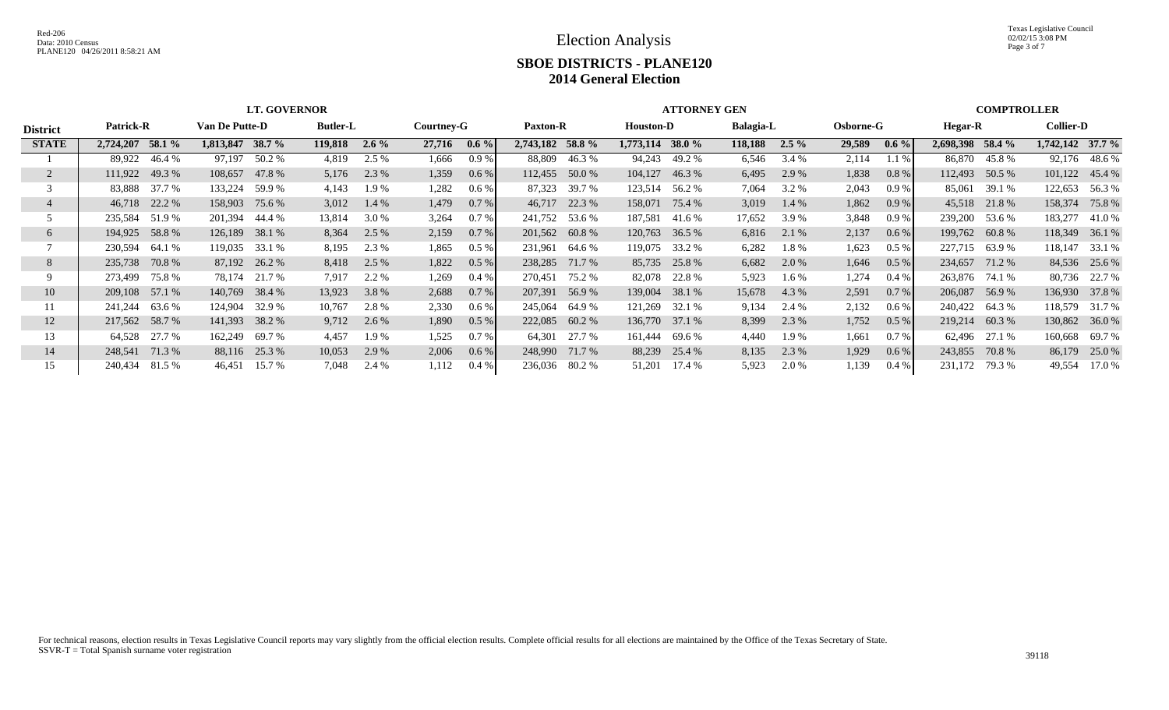Texas Legislative Council 02/02/15 3:08 PM Page 3 of 7

|                 |                  |        |                    | <b>LT. GOVERNOR</b> |                 |         |            |         | <b>ATTORNEY GEN</b> |                |                  |                |                  |         |                  |         | <b>COMPTROLLER</b> |               |                    |                |
|-----------------|------------------|--------|--------------------|---------------------|-----------------|---------|------------|---------|---------------------|----------------|------------------|----------------|------------------|---------|------------------|---------|--------------------|---------------|--------------------|----------------|
| <b>District</b> | <b>Patrick-R</b> |        | Van De Putte-D     |                     | <b>Butler-L</b> |         | Courtney-G |         | <b>Paxton-R</b>     |                | <b>Houston-D</b> |                | <b>Balagia-L</b> |         | <b>Osborne-G</b> |         | Hegar-R            |               | <b>Collier-D</b>   |                |
| <b>STATE</b>    | 2,724,207        | 58.1 % | $1,813,847$ 38.7 % |                     | 119,818         | $2.6\%$ | 27,716     | $0.6\%$ | 2,743,182 58.8 %    |                | 1,773,114 38.0 % |                | 118,188          | $2.5\%$ | 29,589           | $0.6\%$ | 2,698,398 58.4 %   |               | $1,742,142$ 37.7 % |                |
|                 | 89,922           | 46.4 % | 97,197             | 50.2 %              | 4,819           | 2.5 %   | 1,666      | 0.9%    | 88,809              | 46.3%          | 94,243           | 49.2 %         | 6,546            | 3.4 %   | 2,114            | 1.1%    |                    | 86,870 45.8%  |                    | 92,176 48.6 %  |
|                 | 111,922          | 49.3 % | 108,657            | 47.8%               | 5,176           | 2.3 %   | 1,359      | 0.6 %   |                     | 112,455 50.0 % | 104,127          | 46.3%          | 6,495            | 2.9 %   | 1,838            | 0.8 %   | 112,493 50.5 %     |               |                    | 101,122 45.4 % |
|                 | 83,888           | 37.7 % | 133,224            | 59.9 %              | 4,143           | 1.9 %   | 1,282      | $0.6\%$ | 87,323              | 39.7 %         | 123,514          | 56.2 %         | 7,064            | 3.2 %   | 2,043            | 0.9%    | 85,061             | 39.1 %        | 122,653            | 56.3 %         |
|                 | 46,718 22.2 %    |        | 158,903            | 75.6 %              | 3,012           | 1.4 %   | 1,479      | $0.7\%$ | 46,717              | 22.3 %         | 158,071          | 75.4 %         | 3,019            | 1.4 %   | 1,862            | 0.9%    |                    | 45,518 21.8 % | 158,374            | 75.8%          |
|                 | 235,584 51.9 %   |        | 201,394            | 44.4 %              | 13,814          | 3.0 %   | 3,264      | 0.7 %   |                     | 241,752 53.6 % | 187,581          | 41.6 %         | 17,652           | 3.9%    | 3,848            | 0.9%    | 239,200 53.6 %     |               | 183,277            | 41.0 %         |
| 6               | 194,925 58.8 %   |        | 126,189            | 38.1 %              | 8,364           | 2.5 %   | 2,159      | 0.7 %   |                     | 201,562 60.8 % | 120,763          | 36.5 %         | 6,816            | 2.1 %   | 2,137            | 0.6 %   | 199,762 60.8 %     |               | 118,349            | 36.1 %         |
|                 | 230,594          | 64.1 % | 119,035 33.1 %     |                     | 8,195           | 2.3 %   | 1,865      | 0.5%    | 231,961             | 64.6 %         |                  | 119,075 33.2 % | 6,282            | 1.8%    | 1,623            | 0.5%    | 227,715 63.9 %     |               | 118,147            | 33.1 %         |
| 8               | 235,738          | 70.8 % |                    | 87,192 26.2 %       | 8,418           | 2.5 %   | 1,822      | $0.5\%$ | 238,285             | 71.7 %         |                  | 85,735 25.8 %  | 6,682            | 2.0 %   | 1,646            | $0.5\%$ | 234,657            | 71.2 %        |                    | 84,536 25.6 %  |
|                 | 273,499          | 75.8 % | 78,174             | 21.7 %              | 7,917           | 2.2 %   | 1,269      | $0.4\%$ | 270,451             | 75.2 %         | 82,078           | 22.8 %         | 5,923            | $1.6\%$ | 1,274            | $0.4\%$ | 263,876 74.1 %     |               |                    | 80,736 22.7 %  |
| 10              | 209,108 57.1 %   |        | 140,769            | 38.4 %              | 13,923          | 3.8%    | 2,688      | 0.7 %   | 207,391             | 56.9%          | 139,004          | 38.1 %         | 15,678           | 4.3 %   | 2,591            | 0.7 %   | 206,087            | 56.9%         |                    | 136,930 37.8 % |
|                 | 241,244          | 63.6 % | 124,904            | 32.9 %              | 10,767          | 2.8%    | 2,330      | $0.6\%$ | 245,064             | 64.9 %         | 121,269          | 32.1 %         | 9,134            | 2.4 %   | 2,132            | $0.6\%$ | 240,422 64.3 %     |               | 118,579            | 31.7 %         |
| 12              | 217,562 58.7 %   |        | 141,393 38.2 %     |                     | 9,712           | 2.6 %   | 1,890      | 0.5 %   |                     | 222,085 60.2 % |                  | 136,770 37.1 % | 8,399            | 2.3 %   | 1,752            | 0.5 %   | 219,214 60.3 %     |               | 130,862            | 36.0 %         |
| 13              | 64,528           | 27.7 % | 162,249            | 69.7 %              | 4,457           | 1.9 %   | 1,525      | 0.7%    | 64,301              | 27.7 %         | 161,444          | 69.6 %         | 4,440            | 1.9 %   | 1,661            | 0.7%    |                    | 62,496 27.1 % | 160,668            | 69.7 %         |
| 14              | 248,541 71.3 %   |        |                    | 88,116 25.3 %       | 10,053          | 2.9 %   | 2,006      | 0.6 %   | 248,990             | 71.7 %         | 88,239           | 25.4 %         | 8,135            | 2.3 %   | 1,929            | $0.6\%$ | 243,855            | 70.8 %        | 86,179             | 25.0 %         |
| 15              | 240,434          | 81.5 % | 46,451             | 15.7 %              | 7,048           | 2.4 %   | 1,112      | 0.4%    | 236,036 80.2 %      |                | 51,201           | 17.4 %         | 5,923            | 2.0 %   | 1,139            | 0.4%    | 231,172 79.3 %     |               | 49,554             | 17.0 %         |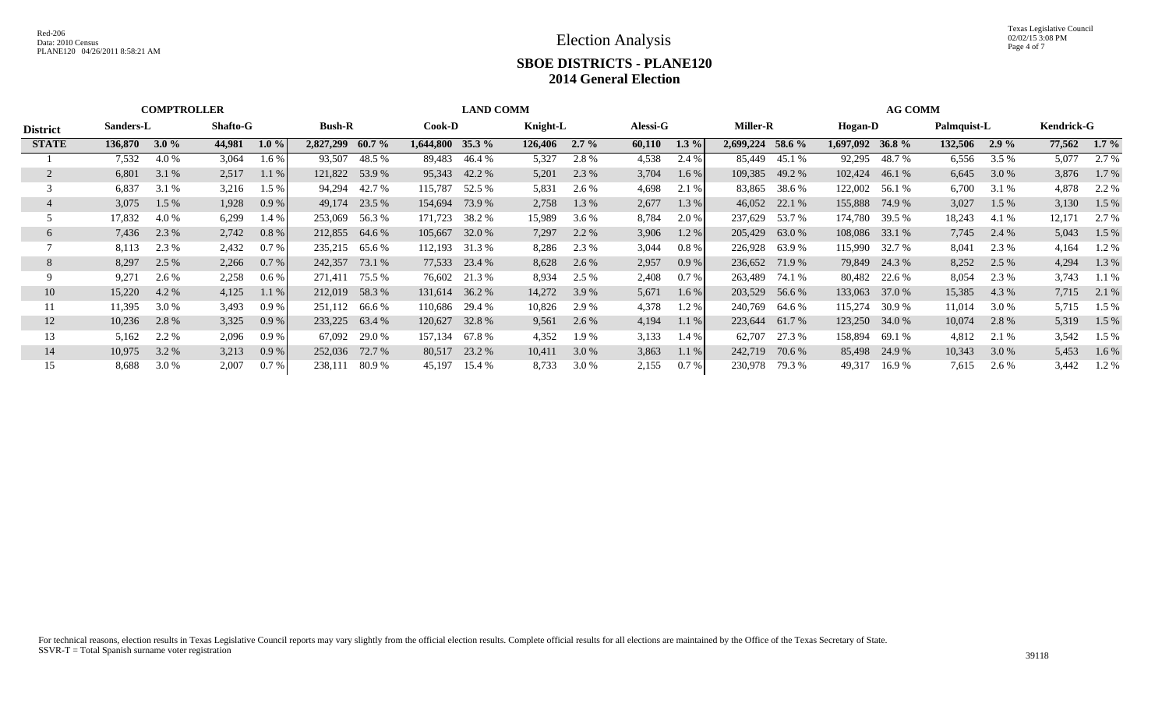|                 |                              | <b>COMPTROLLER</b> |        |          |                | <b>LAND COMM</b> |           |               |          |         |          |         |                 |               | <b>AG COMM</b> |                |         |             |                   |         |  |
|-----------------|------------------------------|--------------------|--------|----------|----------------|------------------|-----------|---------------|----------|---------|----------|---------|-----------------|---------------|----------------|----------------|---------|-------------|-------------------|---------|--|
| <b>District</b> | <b>Shafto-G</b><br>Sanders-L |                    |        |          |                | <b>Bush-R</b>    |           | <b>Cook-D</b> | Knight-L |         | Alessi-G |         | <b>Miller-R</b> |               |                | Hogan-D        |         | Palmquist-L | <b>Kendrick-G</b> |         |  |
| <b>STATE</b>    | 136,870                      | 3.0%               | 44,981 | $1.0 \%$ | 2,827,299      | $60.7\%$         | 1.644.800 | $35.3\%$      | 126,406  | $2.7\%$ | 60,110   | $1.3\%$ | 2,699,224       | 58.6 %        | 1,697,092      | 36.8 $%$       | 132,506 | $2.9\%$     | 77,562            | $1.7\%$ |  |
|                 | 7,532                        | 4.0 %              | 3,064  | $1.6\%$  | 93,507         | 48.5 %           | 89,483    | 46.4 %        | 5,327    | 2.8 %   | 4,538    | 2.4 %   |                 | 85,449 45.1 % | 92,295         | 48.7 %         | 6,556   | 3.5 %       | 5,077             | 2.7 %   |  |
|                 | 6,801                        | 3.1 %              | 2,517  | 1.1%     |                | 121,822 53.9 %   | 95,343    | 42.2 %        | 5,201    | 2.3 %   | 3,704    | 1.6 %   | 109,385         | 49.2 %        | 102,424        | 46.1 %         | 6,645   | 3.0 %       | 3,876             | 1.7 %   |  |
|                 | 6,837                        | 3.1 %              | 3,216  | 1.5%     | 94,294         | 42.7 %           | 115,787   | 52.5 %        | 5,831    | 2.6 %   | 4,698    | 2.1 %   | 83,865          | 38.6 %        | 122,002        | 56.1 %         | 6,700   | 3.1 %       | 4,878             | 2.2 %   |  |
|                 | 3,075                        | $1.5\%$            | 1,928  | 0.9%     | 49,174         | 23.5 %           | 154,694   | 73.9 %        | 2,758    | 1.3 %   | 2,677    | 1.3%    | 46,052          | 22.1 %        | 155,888        | 74.9 %         | 3,027   | 1.5 %       | 3,130             | 1.5 %   |  |
|                 | 17,832                       | 4.0 %              | 6,299  | 1.4 %    | 253,069        | 56.3 %           | 171,723   | 38.2 %        | 15,989   | 3.6 %   | 8,784    | 2.0 %   | 237,629         | 53.7 %        | 174,780        | 39.5 %         | 18,243  | 4.1 %       | 12,171            | 2.7 %   |  |
| 6               | 7,436                        | 2.3 %              | 2,742  | 0.8 %    | 212,855 64.6 % |                  | 105,667   | 32.0 %        | 7,297    | 2.2 %   | 3,906    | 1.2 %   | 205,429         | 63.0 %        |                | 108,086 33.1 % | 7,745   | 2.4 %       | 5,043             | 1.5 %   |  |
|                 | 8,113                        | 2.3 %              | 2,432  | 0.7%     | 235,215        | 65.6 %           | 112,193   | 31.3 %        | 8,286    | 2.3 %   | 3,044    | 0.8%    | 226,928         | 63.9%         | 115,990        | 32.7 %         | 8,041   | 2.3 %       | 4,164             | 1.2 %   |  |
| 8               | 8,297                        | 2.5 %              | 2,266  | 0.7%     | 242,357        | 73.1 %           | 77,533    | 23.4 %        | 8,628    | 2.6 %   | 2,957    | 0.9%    | 236,652         | 71.9 %        |                | 79,849 24.3 %  | 8,252   | 2.5 %       | 4,294             | 1.3 %   |  |
|                 | 9,271                        | 2.6 %              | 2,258  | 0.6 %    | 271.411        | 75.5 %           | 76,602    | 21.3 %        | 8,934    | 2.5 %   | 2,408    | 0.7 %   | 263,489         | 74.1 %        | 80,482         | 22.6 %         | 8,054   | 2.3 %       | 3,743             | $1.1\%$ |  |
| 10              | 15,220                       | 4.2 %              | 4,125  | 1.1%     | 212,019 58.3 % |                  | 131,614   | 36.2 %        | 14,272   | 3.9 %   | 5,671    | 1.6%    | 203,529         | 56.6 %        | 133,063        | 37.0 %         | 15,385  | 4.3 %       | 7,715             | 2.1 %   |  |
| 11              | 11,395                       | 3.0 %              | 3,493  | 0.9%     | 251,112 66.6 % |                  | 110,686   | 29.4 %        | 10,826   | 2.9 %   | 4,378    | 1.2%    | 240,769         | 64.6 %        | 115,274        | 30.9 %         | 11,014  | 3.0 %       | 5,715             | 1.5 %   |  |
| 12              | 10,236                       | 2.8%               | 3,325  | 0.9%     | 233,225 63.4 % |                  | 120,627   | 32.8%         | 9,561    | 2.6 %   | 4,194    | 1.1%    | 223,644         | 61.7 %        | 123,250        | 34.0 %         | 10,074  | 2.8 %       | 5,319             | 1.5 %   |  |
| 13              | 5,162                        | 2.2 %              | 2,096  | 0.9%     | 67.092         | 29.0 %           | 157,134   | 67.8%         | 4,352    | 1.9 %   | 3,133    | 1.4 %   | 62,707          | 27.3 %        | 158,894        | 69.1 %         | 4,812   | 2.1 %       | 3,542             | $1.5\%$ |  |
| 14              | 10,975                       | 3.2 %              | 3,213  | 0.9%     | 252,036        | 72.7 %           | 80,517    | 23.2 %        | 10,411   | 3.0 %   | 3,863    | 1.1%    | 242,719         | 70.6 %        | 85,498         | 24.9 %         | 10,343  | 3.0 %       | 5,453             | $1.6\%$ |  |
| 15              | 8,688                        | 3.0 %              | 2,007  | 0.7%     | 238,111        | 80.9 %           | 45,197    | 15.4 %        | 8,733    | 3.0 %   | 2,155    | 0.7%    | 230,978         | 79.3 %        | 49,317         | 16.9 %         | 7,615   | 2.6 %       | 3,442             | 1.2 %   |  |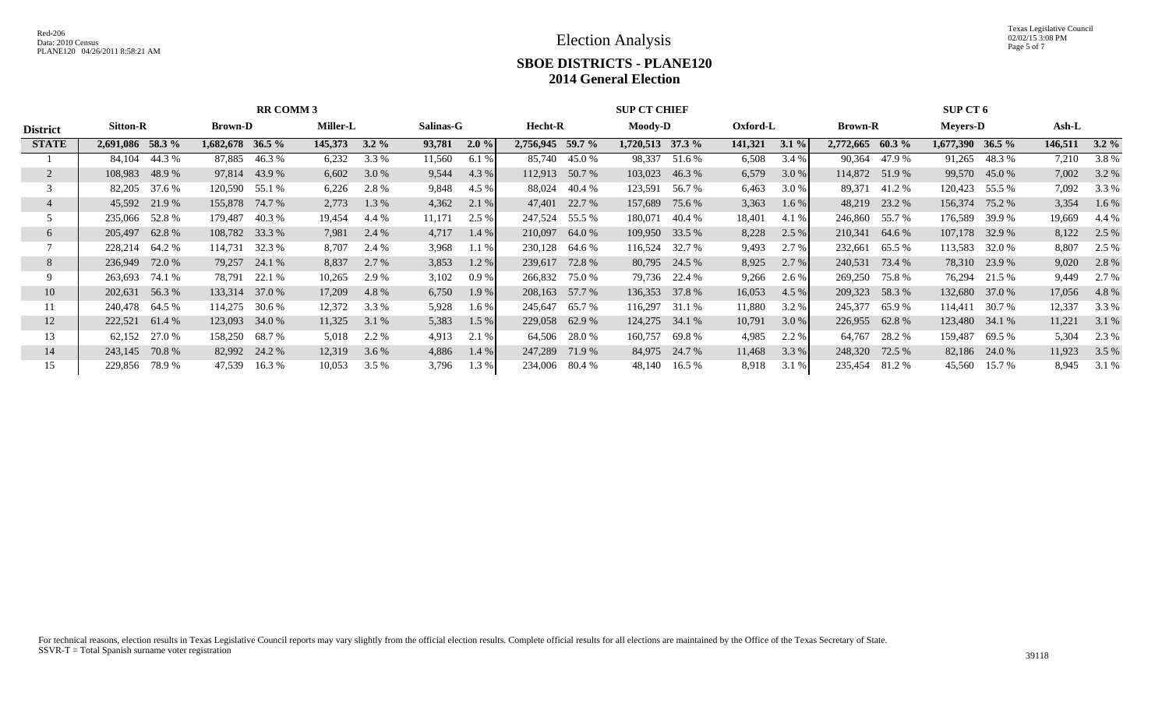Texas Legislative Council 02/02/15 3:08 PM Page 5 of 7

|                   |                    |                    |                    |                   | <b>SUP CT CHIEF</b>  |                  | <b>SUP CT 6</b>                                                       |                    |                    |  |  |  |
|-------------------|--------------------|--------------------|--------------------|-------------------|----------------------|------------------|-----------------------------------------------------------------------|--------------------|--------------------|--|--|--|
| Sitton-R          | <b>Brown-D</b>     | Miller-L           | Salinas-G          | Hecht-R           | <b>Moody-D</b>       |                  | <b>Brown-R</b>                                                        | <b>Meyers-D</b>    | Ash-L              |  |  |  |
| 2,691,086 58.3 %  | $1,682,678$ 36.5 % | 145,373<br>$3.2\%$ | 93,781<br>$2.0 \%$ | 2,756,945 59.7 %  | $1,720,513$ $37.3\%$ | $3.1\%$          | 2,772,665<br>60.3 $%$                                                 | $1,677,390$ 36.5 % | 146,511<br>$3.2\%$ |  |  |  |
| 44.3 %<br>84,104  | 87,885<br>46.3 %   | 3.3 %<br>6,232     | 11,560<br>6.1%     | 85,740<br>45.0 %  | 98,337<br>51.6 %     | 6,508<br>3.4 %   | 47.9 %<br>90,364                                                      | 91,265<br>48.3%    | 3.8%<br>7,210      |  |  |  |
| 48.9%<br>108,983  | 97,814 43.9 %      | 6,602<br>3.0 %     | 4.3 %<br>9,544     | 112,913 50.7 %    | 103,023<br>46.3%     | 6,579<br>3.0 %   | 114,872 51.9 %                                                        | 99,570<br>45.0 %   | 3.2 %<br>7,002     |  |  |  |
| 37.6 %<br>82,205  | 120,590<br>55.1 %  | 2.8%<br>6,226      | 9,848<br>4.5 %     | 88,024<br>40.4 %  | 123,591<br>56.7 %    | 6,463<br>3.0 %   | 89,371<br>41.2 %                                                      | 120,423<br>55.5 %  | 7,092<br>3.3 %     |  |  |  |
| 45,592 21.9 %     | 155,878<br>74.7 %  | 2,773<br>1.3 %     | 4,362<br>2.1 %     | 22.7 %<br>47,401  | 157,689<br>75.6 %    | 3,363<br>$1.6\%$ | 48,219<br>23.2 %                                                      | 156,374<br>75.2 %  | 3,354<br>$1.6\%$   |  |  |  |
| 52.8 %<br>235,066 | 179,487<br>40.3 %  | 19,454<br>4.4 %    | 11,171<br>2.5 %    | 247,524 55.5 %    | 180,071<br>40.4 %    | 4.1 %            | 246,860<br>55.7 %                                                     | 176,589<br>39.9 %  | 19,669<br>4.4 %    |  |  |  |
| 62.8%<br>205,497  | 108,782 33.3 %     | 2.4 %<br>7,981     | 4,717<br>$1.4\%$   | 210,097 64.0 %    | 33.5 %<br>109,950    | 8,228<br>2.5 %   | 210,341<br>64.6 %                                                     | 107,178 32.9 %     | 8,122<br>2.5 %     |  |  |  |
| 228,214 64.2 %    | 114,731<br>32.3 %  | 8,707<br>2.4 %     | 3,968<br>1.1%      | 230,128 64.6 %    | 116,524<br>32.7 %    | 9,493<br>2.7 %   | 232,661<br>65.5 %                                                     | 113,583<br>32.0 %  | 8,807<br>2.5 %     |  |  |  |
| 72.0 %<br>236,949 | 79,257<br>24.1 %   | 2.7 %<br>8,837     | 3,853<br>1.2%      | 72.8 %<br>239,617 | 80,795 24.5 %        | 8,925<br>2.7 %   | 240,531<br>73.4 %                                                     | 78,310 23.9 %      | 9,020<br>2.8%      |  |  |  |
| 74.1 %<br>263,693 | 78,791 22.1 %      | 2.9 %<br>10,265    | 3,102<br>$0.9\%$   | 266,832<br>75.0 % | 79,736 22.4 %        | 9,266<br>2.6 %   | 269,250<br>75.8%                                                      | 76,294 21.5 %      | 9,449<br>2.7 %     |  |  |  |
| 56.3%<br>202,631  | 133,314<br>37.0 %  | 17,209<br>4.8%     | 6,750<br>1.9 %     | 57.7 %<br>208,163 | 136,353<br>37.8 %    | 4.5%             | 209,323<br>58.3 %                                                     | 132,680 37.0 %     | 17,056<br>4.8%     |  |  |  |
| 240,478 64.5 %    | 114,275<br>30.6 %  | 12,372<br>3.3 %    | 5,928<br>$1.6\%$   | 245,647<br>65.7 % | 116,297<br>31.1 %    | 3.2 %            | 245,377<br>65.9%                                                      | 114,411<br>30.7 %  | 12,337<br>3.3 %    |  |  |  |
| 61.4 %<br>222,521 | 123,093 34.0 %     | 11,325<br>3.1 %    | 5,383<br>1.5%      | 229,058 62.9 %    | 124,275<br>34.1 %    | 3.0%             | 226,955<br>62.8%                                                      | 123,480 34.1 %     | 11,221<br>3.1 %    |  |  |  |
| 27.0 %<br>62,152  | 158,250<br>68.7 %  | 2.2 %<br>5,018     | 4,913<br>2.1 %     | 64,506<br>28.0 %  | 160,757<br>69.8 %    | 4,985<br>2.2 %   | 64,767<br>28.2 %                                                      | 159,487<br>69.5 %  | 2.3 %<br>5,304     |  |  |  |
| 70.8 %<br>243,145 | 82,992 24.2 %      | 12,319<br>3.6 %    | 4,886<br>$1.4\%$   | 247,289<br>71.9 % | 84,975 24.7 %        | $3.3\%$          | 248,320<br>72.5 %                                                     | 82,186 24.0 %      | 3.5 %<br>11,923    |  |  |  |
| 78.9 %<br>229,856 | 47,539<br>16.3%    | 10,053<br>3.5 %    | 3,796<br>1.3%      | 234,006<br>80.4 % | 48,140<br>16.5 %     | 3.1 %<br>8,918   | 235,454<br>81.2 %                                                     | 45,560<br>15.7 %   | 8,945<br>3.1 %     |  |  |  |
|                   |                    |                    | <b>RR COMM 3</b>   |                   |                      |                  | Oxford-L<br>141,321<br>18,401<br>16,053<br>11,880<br>10,791<br>11,468 |                    |                    |  |  |  |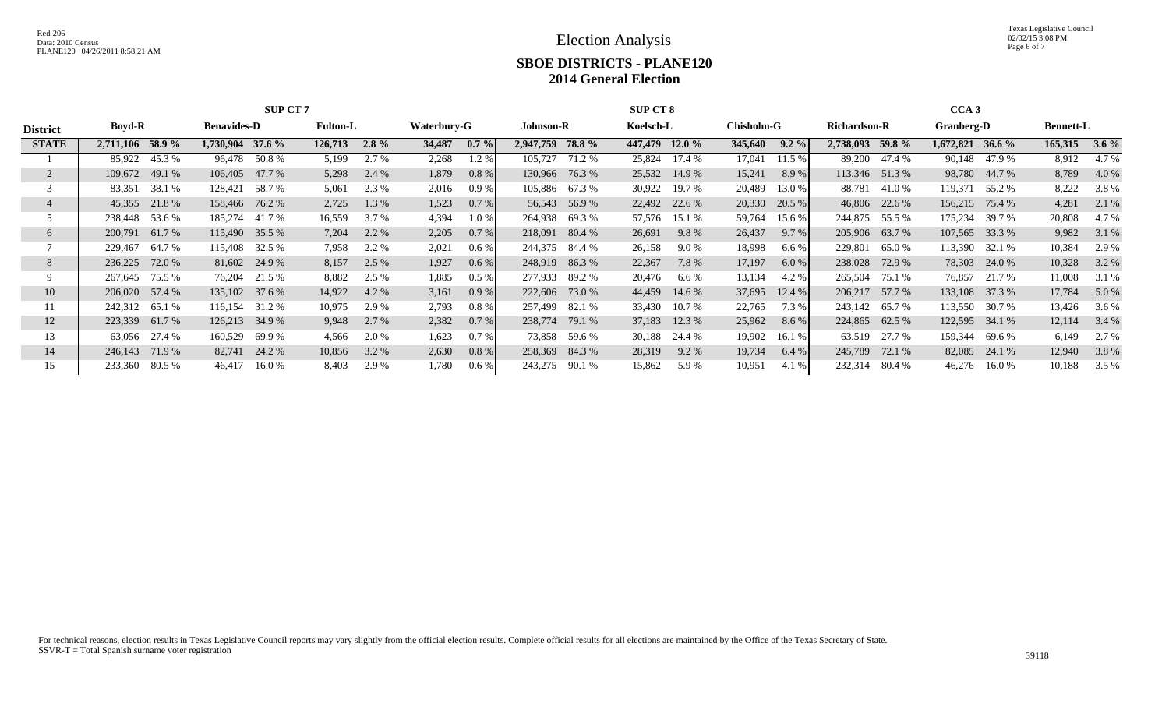Texas Legislative Council 02/02/15 3:08 PM Page 6 of 7

| <b>District</b><br><b>STATE</b> | <b>SUP CT7</b>                                         |                   |                  |         |             |        |                  |           |               | <b>SUP CT 8</b> |               | CCA <sub>3</sub> |                     |                |                   |                    |                  |         |         |
|---------------------------------|--------------------------------------------------------|-------------------|------------------|---------|-------------|--------|------------------|-----------|---------------|-----------------|---------------|------------------|---------------------|----------------|-------------------|--------------------|------------------|---------|---------|
|                                 | <b>Boyd-R</b><br><b>Benavides-D</b><br><b>Fulton-L</b> |                   |                  |         | Waterbury-G |        | <b>Johnson-R</b> |           | Koelsch-L     |                 | Chisholm-G    |                  | <b>Richardson-R</b> |                | <b>Granberg-D</b> |                    | <b>Bennett-L</b> |         |         |
|                                 | 2,711,106 58.9 %                                       |                   | 1,730,904 37.6 % | 126,713 | $2.8\%$     | 34,487 | $0.7\%$          | 2,947,759 | <b>78.8</b> % | 447,479 12.0 %  |               | 345,640          | $9.2\%$             | 2,738,093      | 59.8 %            | $1,672,821$ 36.6 % |                  | 165,315 | $3.6\%$ |
|                                 | 85,922                                                 | 45.3 %            | 96,478 50.8 %    | 5,199   | 2.7 %       | 2,268  | $1.2\%$          | 105.727   | 71.2 %        | 25,824          | 17.4 %        | 17,041           | 11.5 %              | 89,200         | 47.4 %            | 90,148             | 47.9 %           | 8,912   | 4.7 %   |
|                                 | 49.1 %<br>109,672                                      | 106,405           | 47.7 %           | 5,298   | 2.4 %       | 1,879  | $0.8 \%$         | 130,966   | 76.3 %        |                 | 25,532 14.9 % | 15,241           | 8.9%                | 113,346        | 51.3%             | 98,780             | 44.7 %           | 8,789   | 4.0 %   |
|                                 | 83,351                                                 | 38.1 %<br>128,421 | 58.7 %           | 5,061   | 2.3 %       | 2,016  | 0.9%             | 105,886   | 67.3 %        | 30,922          | 19.7 %        | 20,489           | 13.0 %              | 88,781         | 41.0 %            | 119,371            | 55.2 %           | 8,222   | 3.8%    |
|                                 | 45,355 21.8 %                                          |                   | 158,466 76.2 %   | 2,725   | 1.3%        | 1,523  | $0.7\%$          | 56,543    | 56.9%         | 22,492          | 22.6 %        | 20,330           | 20.5 %              | 46,806         | 22.6 %            | 156,215            | 75.4 %           | 4,281   | 2.1 %   |
|                                 | 238,448                                                | 53.6 %<br>185,274 | 41.7 %           | 16,559  | 3.7 %       | 4,394  | 1.0%             | 264,938   | 69.3%         | 57,576          | 15.1 %        | 59,764           | 15.6 %              | 244,875        | 55.5 %            | 175,234            | 39.7 %           | 20,808  | 4.7 %   |
| 6                               | 61.7 %<br>200,791                                      |                   | 115,490 35.5 %   | 7,204   | 2.2 %       | 2,205  | $0.7\%$          | 218,091   | 80.4 %        | 26,691          | 9.8 %         | 26,437           | 9.7%                | 205,906 63.7 % |                   | 107,565 33.3 %     |                  | 9,982   | 3.1 %   |
|                                 | 229,467                                                | 64.7 %<br>115,408 | 32.5 %           | 7,958   | 2.2 %       | 2,021  | 0.6 %            | 244,375   | 84.4 %        | 26,158          | 9.0 %         | 18,998           | 6.6%                | 229,801        | 65.0 %            | 113,390 32.1 %     |                  | 10,384  | 2.9 %   |
| 8                               | 236,225                                                | 72.0 %            | 81,602 24.9 %    | 8,157   | 2.5 %       | 1,927  | $0.6\%$          | 248,919   | 86.3%         | 22,367          | 7.8 %         | 17,197           | 6.0 %               | 238,028        | 72.9 %            |                    | 78,303 24.0 %    | 10,328  | 3.2 %   |
|                                 | 267,645                                                | 75.5 %<br>76,204  | 21.5 %           | 8,882   | 2.5 %       | 1,885  | $0.5\%$          | 277,933   | 89.2 %        | 20,476          | $6.6\%$       | 13,134           | 4.2 %               | 265,504        | 75.1 %            | 76,857             | 21.7 %           | 11,008  | 3.1 %   |
| 10                              | 206,020 57.4 %                                         | 135,102           | 37.6 %           | 14,922  | 4.2 %       | 3,161  | $0.9\%$          | 222,606   | 73.0 %        | 44,459          | 14.6 %        | 37,695           | 12.4%               | 206,217        | 57.7 %            | 133,108 37.3 %     |                  | 17,784  | 5.0 %   |
| 11                              | 242,312                                                | 65.1 %<br>116,154 | 31.2 %           | 10,975  | 2.9 %       | 2,793  | 0.8%             | 257,499   | 82.1 %        | 33,430          | 10.7 %        | 22,765           | 7.3 %               | 243,142        | 65.7 %            | 113,550 30.7 %     |                  | 13,426  | 3.6 %   |
| 12                              | 223,339<br>61.7 %                                      | 126,213           | 34.9 %           | 9,948   | 2.7 %       | 2,382  | 0.7 %            | 238,774   | 79.1 %        | 37,183          | 12.3 %        | 25,962           | 8.6 %               | 224,865        | 62.5 %            | 122,595 34.1 %     |                  | 12,114  | 3.4 %   |
| 13                              | 63,056                                                 | 27.4 %<br>160,529 | 69.9%            | 4,566   | 2.0 %       | 1,623  | 0.7%             | 73,858    | 59.6 %        | 30,188          | 24.4 %        | 19,902           | 16.1 %              | 63,519         | 27.7 %            | 159,344            | 69.6 %           | 6,149   | 2.7 %   |
| 14                              | 246,143                                                | 82,741<br>71.9 %  | 24.2 %           | 10,856  | 3.2 %       | 2,630  | $0.8 \%$         | 258,369   | 84.3%         | 28,319          | $9.2\%$       | 19,734           | 6.4%                | 245,789        | 72.1 %            | 82,085             | 24.1 %           | 12,940  | 3.8 %   |
| 15                              | 233,360                                                | 80.5 %<br>46,417  | 16.0%            | 8,403   | 2.9 %       | 1,780  | 0.6 %            | 243,275   | 90.1 %        | 15,862          | 5.9 %         | 10,951           | 4.1 %               | 232,314        | 80.4 %            | 46,276             | 16.0 %           | 10,188  | 3.5 %   |